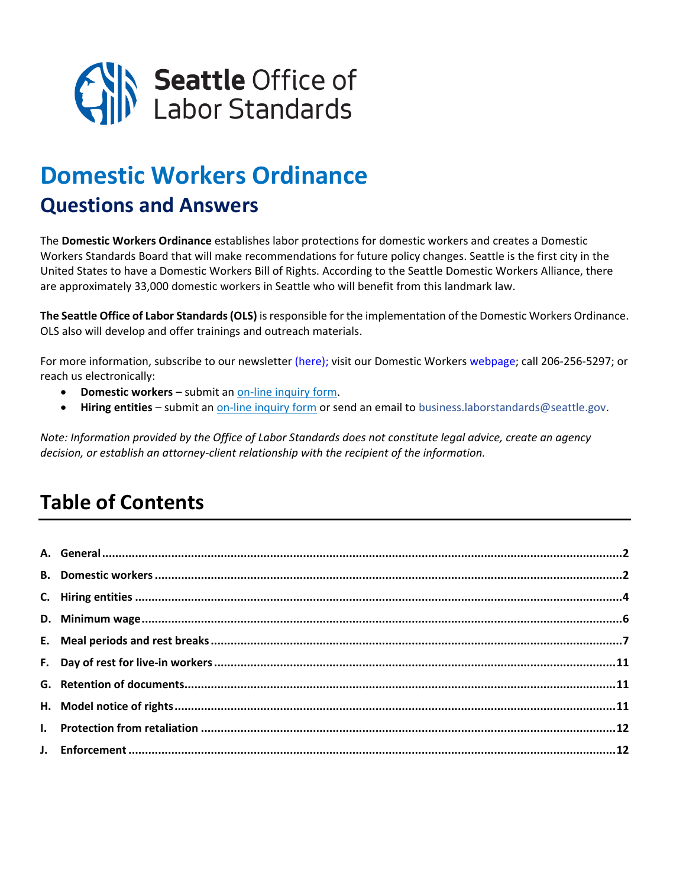

# **Domestic Workers Ordinance**

# **Questions and Answers**

The **[Domestic Workers Ordinance](http://seattle.legistar.com/LegislationDetail.aspx?ID=3532201&GUID=232AE887-44C6-4450-A040-84225AD4F11D)** establishes labor protections for domestic workers and creates a Domestic Workers Standards Board that will make recommendations for future policy changes. Seattle is the first city in the United States to have a Domestic Workers Bill of Rights. According to the Seattle Domestic Workers Alliance, there are approximately 33,000 domestic workers in Seattle who will benefit from this landmark law.

**The Seattle Office of Labor Standards (OLS)** is responsible for the implementation of the Domestic Workers Ordinance. OLS also will develop and offer trainings and outreach materials.

For more information, subscribe to our newsletter [\(here\);](https://www.seattle.gov/laborstandards) visit our Domestic Workers [webpage;](https://www.seattle.gov/laborstandards/ordinances/domestic-workers-ordinance) call 206-256-5297; or reach us electronically:

- **Domestic workers** submit an [on-line inquiry form.](https://laborinquiry.seattle.gov/employee-inquiry/)
- **Hiring entities** submit a[n on-line inquiry form](https://laborinquiry.seattle.gov/employer-inquiry/) or send an email to [business.laborstandards@seattle.gov.](mailto:business.laborstandards@seattle.gov)

*Note: Information provided by the Office of Labor Standards does not constitute legal advice, create an agency decision, or establish an attorney-client relationship with the recipient of the information.*

# **Table of Contents**

<span id="page-0-0"></span>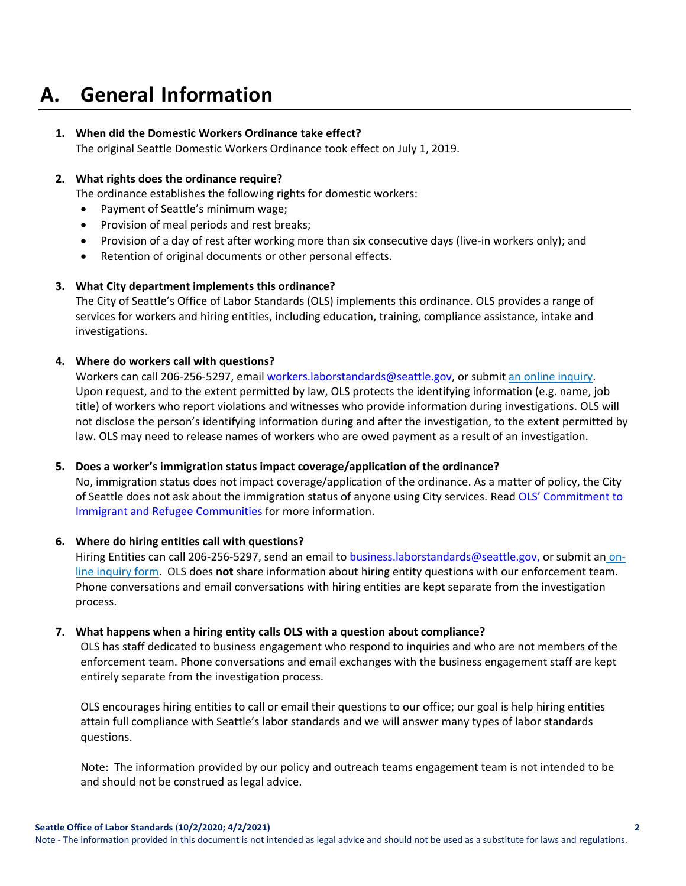# **A. General Information**

### **1. When did the Domestic Workers Ordinance take effect?**

The original Seattle Domestic Workers Ordinance took effect on July 1, 2019.

#### **2. What rights does the ordinance require?**

The ordinance establishes the following rights for domestic workers:

- Payment of Seattle's minimum wage;
- Provision of meal periods and rest breaks;
- Provision of a day of rest after working more than six consecutive days (live-in workers only); and
- Retention of original documents or other personal effects.

#### **3. What City department implements this ordinance?**

The City of Seattle's Office of Labor Standards (OLS) implements this ordinance. OLS provides a range of services for workers and hiring entities, including education, training, compliance assistance, intake and investigations.

#### **4. Where do workers call with questions?**

Workers can call 206-256-5297, email [workers.laborstandards@seattle.gov,](mailto:workers.laborstandards@seattle.gov) or submit [an online inquiry.](https://laborinquiry.seattle.gov/employee-inquiry/) Upon request, and to the extent permitted by law, OLS protects the identifying information (e.g. name, job title) of workers who report violations and witnesses who provide information during investigations. OLS will not disclose the person's identifying information during and after the investigation, to the extent permitted by law. OLS may need to release names of workers who are owed payment as a result of an investigation.

#### **5. Does a worker's immigration status impact coverage/application of the ordinance?**

No, immigration status does not impact coverage/application of the ordinance. As a matter of policy, the City of Seattle does not ask about the immigration status of anyone using City services. Read OLS' Commitment to [Immigrant and Refugee Communities](http://www.seattle.gov/laborstandards/outreach/commitment-to-immigrants-and-refugees) for more information.

#### **6. Where do hiring entities call with questions?**

Hiring Entities can call 206-256-5297, send an email to [business.laborstandards@seattle.gov,](mailto:business.laborstandards@seattle.gov) or submit an [on](https://laborinquiry.seattle.gov/employer-inquiry/)[line inquiry form.](https://laborinquiry.seattle.gov/employer-inquiry/) OLS does **not** share information about hiring entity questions with our enforcement team. Phone conversations and email conversations with hiring entities are kept separate from the investigation process.

#### **7. What happens when a hiring entity calls OLS with a question about compliance?**

OLS has staff dedicated to business engagement who respond to inquiries and who are not members of the enforcement team. Phone conversations and email exchanges with the business engagement staff are kept entirely separate from the investigation process.

OLS encourages hiring entities to call or email their questions to our office; our goal is help hiring entities attain full compliance with Seattle's labor standards and we will answer many types of labor standards questions.

Note: The information provided by our policy and outreach teams engagement team is not intended to be and should not be construed as legal advice.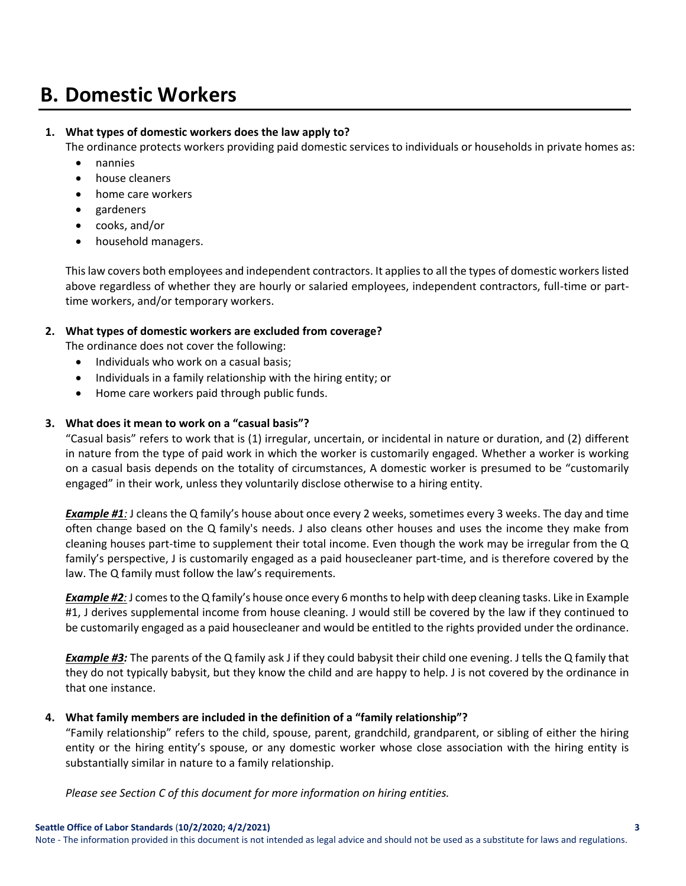# **B. Domestic Workers**

### **1. What types of domestic workers does the law apply to?**

The ordinance protects workers providing paid domestic services to individuals or households in private homes as:

- nannies
- house cleaners
- home care workers
- gardeners
- cooks, and/or
- household managers.

This law covers both employees and independent contractors. It applies to all the types of domestic workers listed above regardless of whether they are hourly or salaried employees, independent contractors, full-time or parttime workers, and/or temporary workers.

### **2. What types of domestic workers are excluded from coverage?**

The ordinance does not cover the following:

- Individuals who work on a casual basis;
- Individuals in a family relationship with the hiring entity; or
- Home care workers paid through public funds.

### **3. What does it mean to work on a "casual basis"?**

"Casual basis" refers to work that is (1) irregular, uncertain, or incidental in nature or duration, and (2) different in nature from the type of paid work in which the worker is customarily engaged. Whether a worker is working on a casual basis depends on the totality of circumstances, A domestic worker is presumed to be "customarily engaged" in their work, unless they voluntarily disclose otherwise to a hiring entity.

*Example #1:* J cleans the Q family's house about once every 2 weeks, sometimes every 3 weeks. The day and time often change based on the Q family's needs. J also cleans other houses and uses the income they make from cleaning houses part-time to supplement their total income. Even though the work may be irregular from the Q family's perspective, J is customarily engaged as a paid housecleaner part-time, and is therefore covered by the law. The Q family must follow the law's requirements.

*Example #2:* J comes to the Q family's house once every 6 months to help with deep cleaning tasks. Like in Example #1, J derives supplemental income from house cleaning. J would still be covered by the law if they continued to be customarily engaged as a paid housecleaner and would be entitled to the rights provided under the ordinance.

*Example #3:* The parents of the Q family ask J if they could babysit their child one evening. J tells the Q family that they do not typically babysit, but they know the child and are happy to help. J is not covered by the ordinance in that one instance.

### **4. What family members are included in the definition of a "family relationship"?**

"Family relationship" refers to the child, spouse, parent, grandchild, grandparent, or sibling of either the hiring entity or the hiring entity's spouse, or any domestic worker whose close association with the hiring entity is substantially similar in nature to a family relationship.

*Please see Section C of this document for more information on hiring entities.*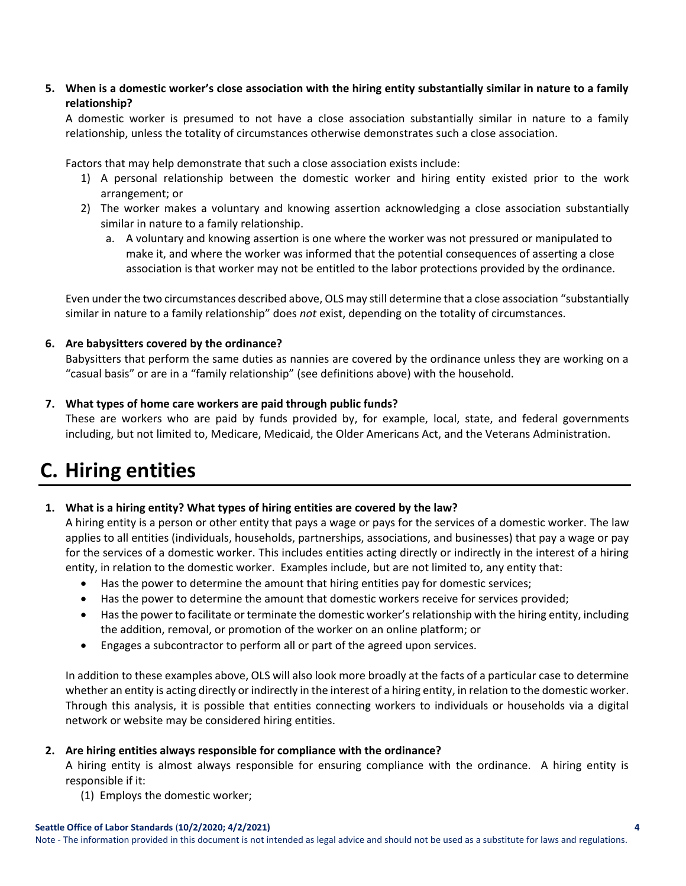**5. When is a domestic worker's close association with the hiring entity substantially similar in nature to a family relationship?** 

A domestic worker is presumed to not have a close association substantially similar in nature to a family relationship, unless the totality of circumstances otherwise demonstrates such a close association.

Factors that may help demonstrate that such a close association exists include:

- 1) A personal relationship between the domestic worker and hiring entity existed prior to the work arrangement; or
- 2) The worker makes a voluntary and knowing assertion acknowledging a close association substantially similar in nature to a family relationship.
	- a. A voluntary and knowing assertion is one where the worker was not pressured or manipulated to make it, and where the worker was informed that the potential consequences of asserting a close association is that worker may not be entitled to the labor protections provided by the ordinance.

Even under the two circumstances described above, OLS may still determine that a close association "substantially similar in nature to a family relationship" does *not* exist, depending on the totality of circumstances.

### **6. Are babysitters covered by the ordinance?**

Babysitters that perform the same duties as nannies are covered by the ordinance unless they are working on a "casual basis" or are in a "family relationship" (see definitions above) with the household.

### **7. What types of home care workers are paid through public funds?**

These are workers who are paid by funds provided by, for example, local, state, and federal governments including, but not limited to, Medicare, Medicaid, the Older Americans Act, and the Veterans Administration.

# <span id="page-3-0"></span>**C. Hiring entities**

## **1. What is a hiring entity? What types of hiring entities are covered by the law?**

A hiring entity is a person or other entity that pays a wage or pays for the services of a domestic worker. The law applies to all entities (individuals, households, partnerships, associations, and businesses) that pay a wage or pay for the services of a domestic worker. This includes entities acting directly or indirectly in the interest of a hiring entity, in relation to the domestic worker. Examples include, but are not limited to, any entity that:

- Has the power to determine the amount that hiring entities pay for domestic services;
- Has the power to determine the amount that domestic workers receive for services provided;
- Has the power to facilitate or terminate the domestic worker's relationship with the hiring entity, including the addition, removal, or promotion of the worker on an online platform; or
- Engages a subcontractor to perform all or part of the agreed upon services.

In addition to these examples above, OLS will also look more broadly at the facts of a particular case to determine whether an entity is acting directly or indirectly in the interest of a hiring entity, in relation to the domestic worker. Through this analysis, it is possible that entities connecting workers to individuals or households via a digital network or website may be considered hiring entities.

### **2. Are hiring entities always responsible for compliance with the ordinance?**

A hiring entity is almost always responsible for ensuring compliance with the ordinance. A hiring entity is responsible if it:

(1) Employs the domestic worker;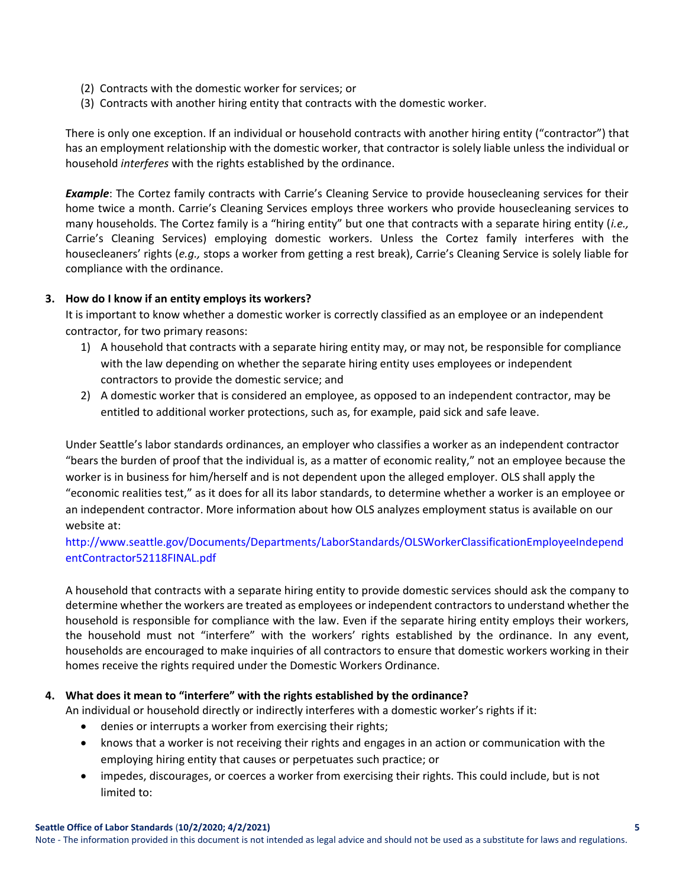- (2) Contracts with the domestic worker for services; or
- (3) Contracts with another hiring entity that contracts with the domestic worker.

There is only one exception. If an individual or household contracts with another hiring entity ("contractor") that has an employment relationship with the domestic worker, that contractor is solely liable unless the individual or household *interferes* with the rights established by the ordinance.

*Example*: The Cortez family contracts with Carrie's Cleaning Service to provide housecleaning services for their home twice a month. Carrie's Cleaning Services employs three workers who provide housecleaning services to many households. The Cortez family is a "hiring entity" but one that contracts with a separate hiring entity (*i.e.,*  Carrie's Cleaning Services) employing domestic workers. Unless the Cortez family interferes with the housecleaners' rights (*e.g.,* stops a worker from getting a rest break), Carrie's Cleaning Service is solely liable for compliance with the ordinance.

#### **3. How do I know if an entity employs its workers?**

It is important to know whether a domestic worker is correctly classified as an employee or an independent contractor, for two primary reasons:

- 1) A household that contracts with a separate hiring entity may, or may not, be responsible for compliance with the law depending on whether the separate hiring entity uses employees or independent contractors to provide the domestic service; and
- 2) A domestic worker that is considered an employee, as opposed to an independent contractor, may be entitled to additional worker protections, such as, for example, paid sick and safe leave.

Under Seattle's labor standards ordinances, an employer who classifies a worker as an independent contractor "bears the burden of proof that the individual is, as a matter of economic reality," not an employee because the worker is in business for him/herself and is not dependent upon the alleged employer. OLS shall apply the "economic realities test," as it does for all its labor standards, to determine whether a worker is an employee or an independent contractor. More information about how OLS analyzes employment status is available on our website at:

### [http://www.seattle.gov/Documents/Departments/LaborStandards/OLSWorkerClassificationEmployeeIndepend](http://www.seattle.gov/Documents/Departments/LaborStandards/OLSWorkerClassificationEmployeeIndependentContractor52118FINAL.pdf) [entContractor52118FINAL.pdf](http://www.seattle.gov/Documents/Departments/LaborStandards/OLSWorkerClassificationEmployeeIndependentContractor52118FINAL.pdf)

A household that contracts with a separate hiring entity to provide domestic services should ask the company to determine whether the workers are treated as employees or independent contractors to understand whether the household is responsible for compliance with the law. Even if the separate hiring entity employs their workers, the household must not "interfere" with the workers' rights established by the ordinance. In any event, households are encouraged to make inquiries of all contractors to ensure that domestic workers working in their homes receive the rights required under the Domestic Workers Ordinance.

### **4. What does it mean to "interfere" with the rights established by the ordinance?**

An individual or household directly or indirectly interferes with a domestic worker's rights if it:

- denies or interrupts a worker from exercising their rights;
- knows that a worker is not receiving their rights and engages in an action or communication with the employing hiring entity that causes or perpetuates such practice; or
- impedes, discourages, or coerces a worker from exercising their rights. This could include, but is not limited to: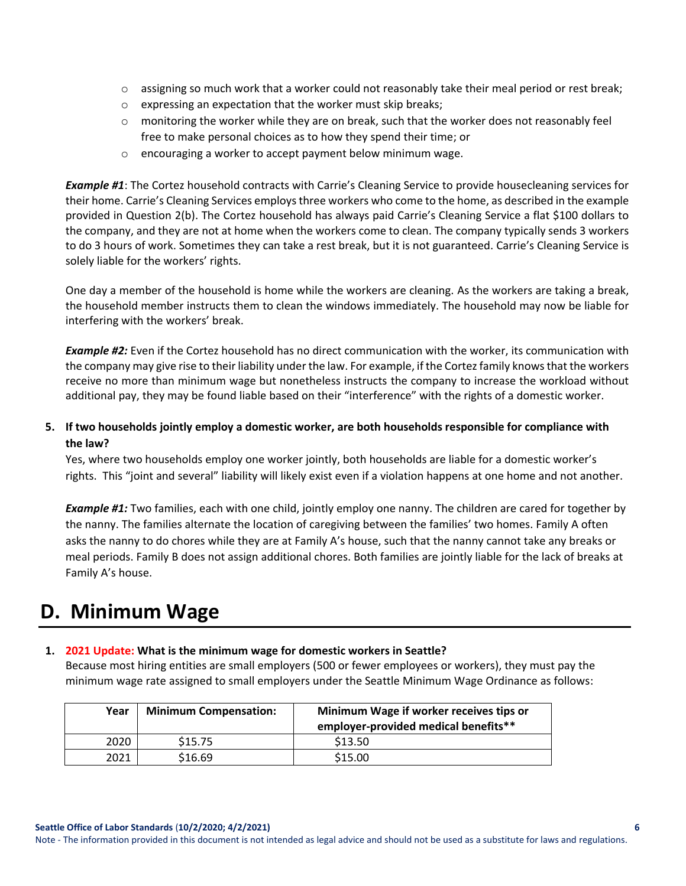- $\circ$  assigning so much work that a worker could not reasonably take their meal period or rest break;
- o expressing an expectation that the worker must skip breaks;
- $\circ$  monitoring the worker while they are on break, such that the worker does not reasonably feel free to make personal choices as to how they spend their time; or
- o encouraging a worker to accept payment below minimum wage.

*Example #1*: The Cortez household contracts with Carrie's Cleaning Service to provide housecleaning services for their home. Carrie's Cleaning Services employs three workers who come to the home, as described in the example provided in Question 2(b). The Cortez household has always paid Carrie's Cleaning Service a flat \$100 dollars to the company, and they are not at home when the workers come to clean. The company typically sends 3 workers to do 3 hours of work. Sometimes they can take a rest break, but it is not guaranteed. Carrie's Cleaning Service is solely liable for the workers' rights.

One day a member of the household is home while the workers are cleaning. As the workers are taking a break, the household member instructs them to clean the windows immediately. The household may now be liable for interfering with the workers' break.

*Example #2:* Even if the Cortez household has no direct communication with the worker, its communication with the company may give rise to their liability under the law. For example, if the Cortez family knows that the workers receive no more than minimum wage but nonetheless instructs the company to increase the workload without additional pay, they may be found liable based on their "interference" with the rights of a domestic worker.

**5. If two households jointly employ a domestic worker, are both households responsible for compliance with the law?** 

Yes, where two households employ one worker jointly, both households are liable for a domestic worker's rights. This "joint and several" liability will likely exist even if a violation happens at one home and not another.

*Example #1:* Two families, each with one child, jointly employ one nanny. The children are cared for together by the nanny. The families alternate the location of caregiving between the families' two homes. Family A often asks the nanny to do chores while they are at Family A's house, such that the nanny cannot take any breaks or meal periods. Family B does not assign additional chores. Both families are jointly liable for the lack of breaks at Family A's house.

# <span id="page-5-0"></span>**D. Minimum Wage**

### **1. 2021 Update: What is the minimum wage for domestic workers in Seattle?**

Because most hiring entities are small employers (500 or fewer employees or workers), they must pay the minimum wage rate assigned to small employers under the Seattle Minimum Wage Ordinance as follows:

| Year | <b>Minimum Compensation:</b> | Minimum Wage if worker receives tips or<br>employer-provided medical benefits** |
|------|------------------------------|---------------------------------------------------------------------------------|
| 2020 | \$15.75                      | \$13.50                                                                         |
| 2021 | \$16.69                      | \$15.00                                                                         |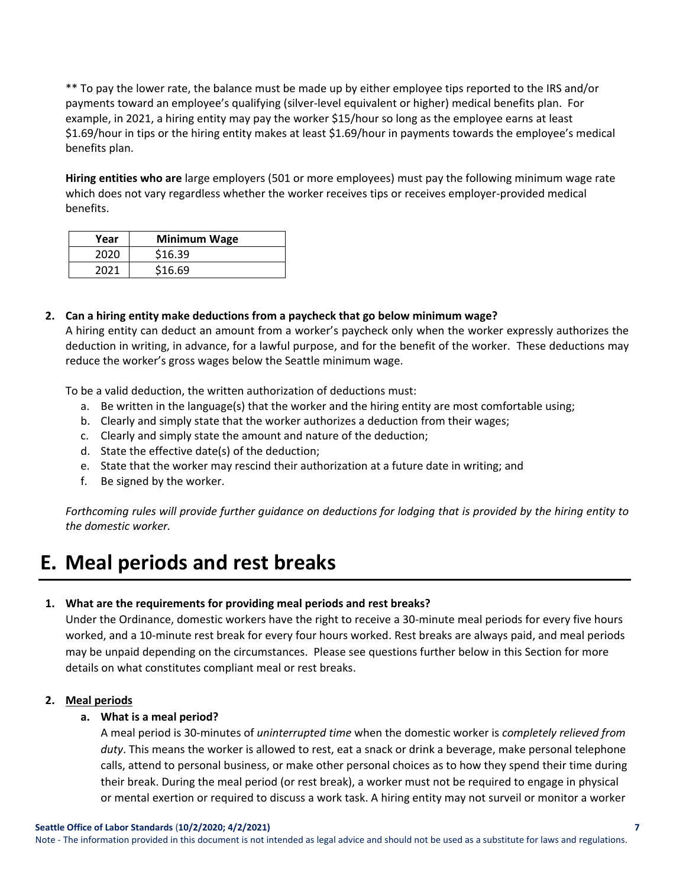\*\* To pay the lower rate, the balance must be made up by either employee tips reported to the IRS and/or payments toward an employee's qualifying (silver-level equivalent or higher) medical benefits plan. For example, in 2021, a hiring entity may pay the worker \$15/hour so long as the employee earns at least \$1.69/hour in tips or the hiring entity makes at least \$1.69/hour in payments towards the employee's medical benefits plan.

**Hiring entities who are** large employers (501 or more employees) must pay the following minimum wage rate which does not vary regardless whether the worker receives tips or receives employer-provided medical benefits.

| Year | <b>Minimum Wage</b> |
|------|---------------------|
| 2020 | \$16.39             |
| 2021 | \$16.69             |

**2. Can a hiring entity make deductions from a paycheck that go below minimum wage?**  A hiring entity can deduct an amount from a worker's paycheck only when the worker expressly authorizes the deduction in writing, in advance, for a lawful purpose, and for the benefit of the worker. These deductions may reduce the worker's gross wages below the Seattle minimum wage.

To be a valid deduction, the written authorization of deductions must:

- a. Be written in the language(s) that the worker and the hiring entity are most comfortable using;
- b. Clearly and simply state that the worker authorizes a deduction from their wages;
- c. Clearly and simply state the amount and nature of the deduction;
- d. State the effective date(s) of the deduction;
- e. State that the worker may rescind their authorization at a future date in writing; and
- f. Be signed by the worker.

*Forthcoming rules will provide further guidance on deductions for lodging that is provided by the hiring entity to the domestic worker.* 

# <span id="page-6-0"></span>**E. Meal periods and rest breaks**

#### **1. What are the requirements for providing meal periods and rest breaks?**

Under the Ordinance, domestic workers have the right to receive a 30-minute meal periods for every five hours worked, and a 10-minute rest break for every four hours worked. Rest breaks are always paid, and meal periods may be unpaid depending on the circumstances. Please see questions further below in this Section for more details on what constitutes compliant meal or rest breaks.

#### **2. Meal periods**

#### **a. What is a meal period?**

A meal period is 30-minutes of *uninterrupted time* when the domestic worker is *completely relieved from duty*. This means the worker is allowed to rest, eat a snack or drink a beverage, make personal telephone calls, attend to personal business, or make other personal choices as to how they spend their time during their break. During the meal period (or rest break), a worker must not be required to engage in physical or mental exertion or required to discuss a work task. A hiring entity may not surveil or monitor a worker

Note - The information provided in this document is not intended as legal advice and should not be used as a substitute for laws and regulations.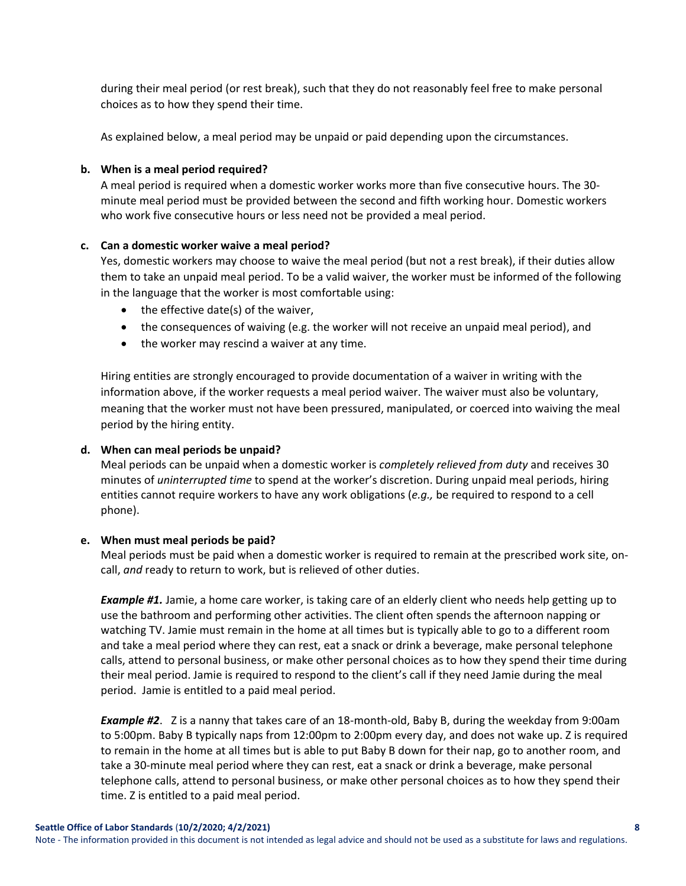during their meal period (or rest break), such that they do not reasonably feel free to make personal choices as to how they spend their time.

As explained below, a meal period may be unpaid or paid depending upon the circumstances.

#### **b. When is a meal period required?**

A meal period is required when a domestic worker works more than five consecutive hours. The 30 minute meal period must be provided between the second and fifth working hour. Domestic workers who work five consecutive hours or less need not be provided a meal period.

#### **c. Can a domestic worker waive a meal period?**

Yes, domestic workers may choose to waive the meal period (but not a rest break), if their duties allow them to take an unpaid meal period. To be a valid waiver, the worker must be informed of the following in the language that the worker is most comfortable using:

- the effective date(s) of the waiver,
- the consequences of waiving (e.g. the worker will not receive an unpaid meal period), and
- the worker may rescind a waiver at any time.

Hiring entities are strongly encouraged to provide documentation of a waiver in writing with the information above, if the worker requests a meal period waiver. The waiver must also be voluntary, meaning that the worker must not have been pressured, manipulated, or coerced into waiving the meal period by the hiring entity.

#### **d. When can meal periods be unpaid?**

Meal periods can be unpaid when a domestic worker is *completely relieved from duty* and receives 30 minutes of *uninterrupted time* to spend at the worker's discretion. During unpaid meal periods, hiring entities cannot require workers to have any work obligations (*e.g.,* be required to respond to a cell phone).

#### **e. When must meal periods be paid?**

Meal periods must be paid when a domestic worker is required to remain at the prescribed work site, oncall, *and* ready to return to work, but is relieved of other duties.

*Example #1.* Jamie, a home care worker, is taking care of an elderly client who needs help getting up to use the bathroom and performing other activities. The client often spends the afternoon napping or watching TV. Jamie must remain in the home at all times but is typically able to go to a different room and take a meal period where they can rest, eat a snack or drink a beverage, make personal telephone calls, attend to personal business, or make other personal choices as to how they spend their time during their meal period. Jamie is required to respond to the client's call if they need Jamie during the meal period. Jamie is entitled to a paid meal period.

*Example #2*. Z is a nanny that takes care of an 18-month-old, Baby B, during the weekday from 9:00am to 5:00pm. Baby B typically naps from 12:00pm to 2:00pm every day, and does not wake up. Z is required to remain in the home at all times but is able to put Baby B down for their nap, go to another room, and take a 30-minute meal period where they can rest, eat a snack or drink a beverage, make personal telephone calls, attend to personal business, or make other personal choices as to how they spend their time. Z is entitled to a paid meal period.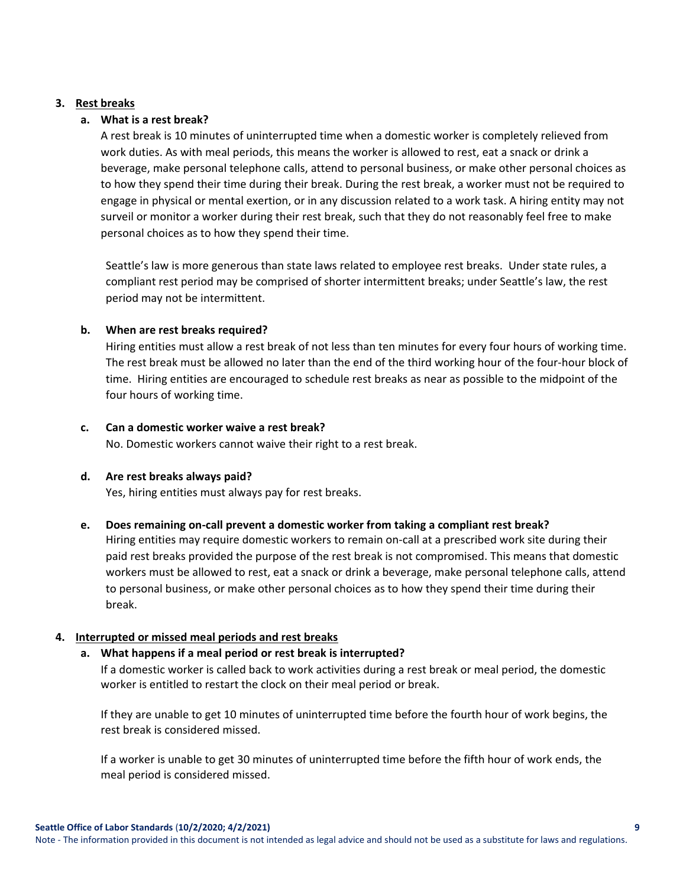#### **3. Rest breaks**

#### **a. What is a rest break?**

A rest break is 10 minutes of uninterrupted time when a domestic worker is completely relieved from work duties. As with meal periods, this means the worker is allowed to rest, eat a snack or drink a beverage, make personal telephone calls, attend to personal business, or make other personal choices as to how they spend their time during their break. During the rest break, a worker must not be required to engage in physical or mental exertion, or in any discussion related to a work task. A hiring entity may not surveil or monitor a worker during their rest break, such that they do not reasonably feel free to make personal choices as to how they spend their time.

Seattle's law is more generous than state laws related to employee rest breaks. Under state rules, a compliant rest period may be comprised of shorter intermittent breaks; under Seattle's law, the rest period may not be intermittent.

#### **b. When are rest breaks required?**

Hiring entities must allow a rest break of not less than ten minutes for every four hours of working time. The rest break must be allowed no later than the end of the third working hour of the four-hour block of time. Hiring entities are encouraged to schedule rest breaks as near as possible to the midpoint of the four hours of working time.

#### **c. Can a domestic worker waive a rest break?**

No. Domestic workers cannot waive their right to a rest break.

#### **d. Are rest breaks always paid?**

Yes, hiring entities must always pay for rest breaks.

### **e. Does remaining on-call prevent a domestic worker from taking a compliant rest break?**

Hiring entities may require domestic workers to remain on-call at a prescribed work site during their paid rest breaks provided the purpose of the rest break is not compromised. This means that domestic workers must be allowed to rest, eat a snack or drink a beverage, make personal telephone calls, attend to personal business, or make other personal choices as to how they spend their time during their break.

#### **4. Interrupted or missed meal periods and rest breaks**

### **a. What happens if a meal period or rest break is interrupted?**

If a domestic worker is called back to work activities during a rest break or meal period, the domestic worker is entitled to restart the clock on their meal period or break.

If they are unable to get 10 minutes of uninterrupted time before the fourth hour of work begins, the rest break is considered missed.

If a worker is unable to get 30 minutes of uninterrupted time before the fifth hour of work ends, the meal period is considered missed.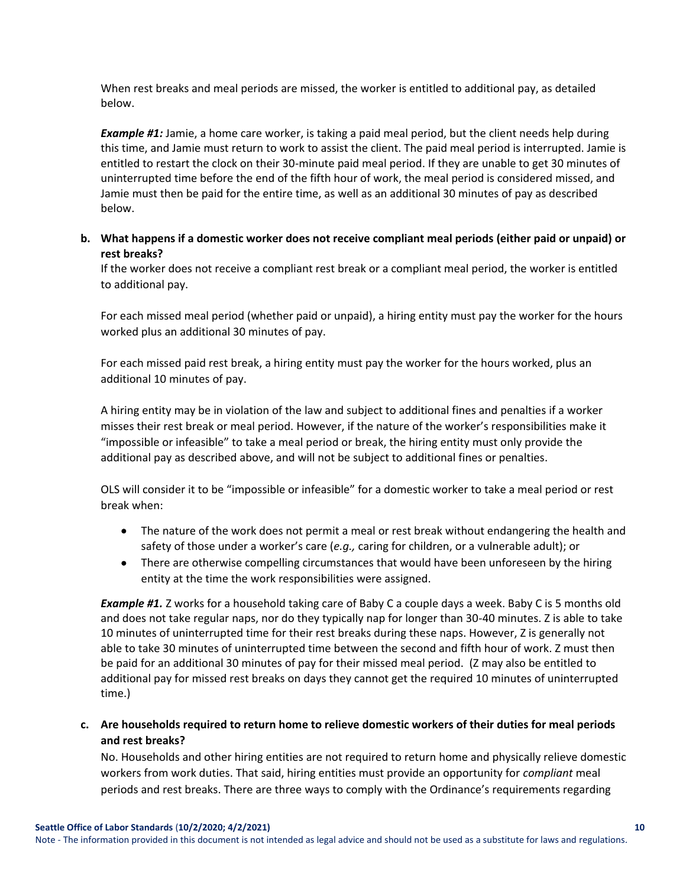When rest breaks and meal periods are missed, the worker is entitled to additional pay, as detailed below.

*Example #1:* Jamie, a home care worker, is taking a paid meal period, but the client needs help during this time, and Jamie must return to work to assist the client. The paid meal period is interrupted. Jamie is entitled to restart the clock on their 30-minute paid meal period. If they are unable to get 30 minutes of uninterrupted time before the end of the fifth hour of work, the meal period is considered missed, and Jamie must then be paid for the entire time, as well as an additional 30 minutes of pay as described below.

### **b. What happens if a domestic worker does not receive compliant meal periods (either paid or unpaid) or rest breaks?**

If the worker does not receive a compliant rest break or a compliant meal period, the worker is entitled to additional pay.

For each missed meal period (whether paid or unpaid), a hiring entity must pay the worker for the hours worked plus an additional 30 minutes of pay.

For each missed paid rest break, a hiring entity must pay the worker for the hours worked, plus an additional 10 minutes of pay.

A hiring entity may be in violation of the law and subject to additional fines and penalties if a worker misses their rest break or meal period. However, if the nature of the worker's responsibilities make it "impossible or infeasible" to take a meal period or break, the hiring entity must only provide the additional pay as described above, and will not be subject to additional fines or penalties.

OLS will consider it to be "impossible or infeasible" for a domestic worker to take a meal period or rest break when:

- The nature of the work does not permit a meal or rest break without endangering the health and safety of those under a worker's care (*e.g.,* caring for children, or a vulnerable adult); or
- There are otherwise compelling circumstances that would have been unforeseen by the hiring entity at the time the work responsibilities were assigned.

*Example #1.* Z works for a household taking care of Baby C a couple days a week. Baby C is 5 months old and does not take regular naps, nor do they typically nap for longer than 30-40 minutes. Z is able to take 10 minutes of uninterrupted time for their rest breaks during these naps. However, Z is generally not able to take 30 minutes of uninterrupted time between the second and fifth hour of work. Z must then be paid for an additional 30 minutes of pay for their missed meal period. (Z may also be entitled to additional pay for missed rest breaks on days they cannot get the required 10 minutes of uninterrupted time.)

**c. Are households required to return home to relieve domestic workers of their duties for meal periods and rest breaks?** 

No. Households and other hiring entities are not required to return home and physically relieve domestic workers from work duties. That said, hiring entities must provide an opportunity for *compliant* meal periods and rest breaks. There are three ways to comply with the Ordinance's requirements regarding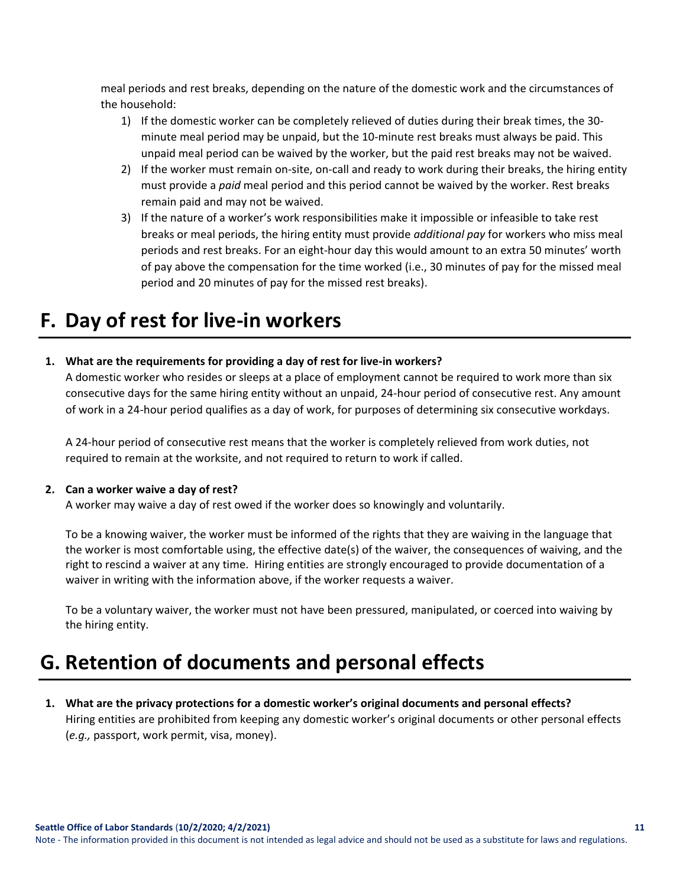meal periods and rest breaks, depending on the nature of the domestic work and the circumstances of the household:

- 1) If the domestic worker can be completely relieved of duties during their break times, the 30 minute meal period may be unpaid, but the 10-minute rest breaks must always be paid. This unpaid meal period can be waived by the worker, but the paid rest breaks may not be waived.
- 2) If the worker must remain on-site, on-call and ready to work during their breaks, the hiring entity must provide a *paid* meal period and this period cannot be waived by the worker. Rest breaks remain paid and may not be waived.
- 3) If the nature of a worker's work responsibilities make it impossible or infeasible to take rest breaks or meal periods, the hiring entity must provide *additional pay* for workers who miss meal periods and rest breaks. For an eight-hour day this would amount to an extra 50 minutes' worth of pay above the compensation for the time worked (i.e., 30 minutes of pay for the missed meal period and 20 minutes of pay for the missed rest breaks).

# <span id="page-10-0"></span>**F. Day of rest for live-in workers**

### **1. What are the requirements for providing a day of rest for live-in workers?**

A domestic worker who resides or sleeps at a place of employment cannot be required to work more than six consecutive days for the same hiring entity without an unpaid, 24-hour period of consecutive rest. Any amount of work in a 24-hour period qualifies as a day of work, for purposes of determining six consecutive workdays.

A 24-hour period of consecutive rest means that the worker is completely relieved from work duties, not required to remain at the worksite, and not required to return to work if called.

### **2. Can a worker waive a day of rest?**

A worker may waive a day of rest owed if the worker does so knowingly and voluntarily.

To be a knowing waiver, the worker must be informed of the rights that they are waiving in the language that the worker is most comfortable using, the effective date(s) of the waiver, the consequences of waiving, and the right to rescind a waiver at any time. Hiring entities are strongly encouraged to provide documentation of a waiver in writing with the information above, if the worker requests a waiver.

To be a voluntary waiver, the worker must not have been pressured, manipulated, or coerced into waiving by the hiring entity.

# <span id="page-10-1"></span>**G. Retention of documents and personal effects**

**1. What are the privacy protections for a domestic worker's original documents and personal effects?** Hiring entities are prohibited from keeping any domestic worker's original documents or other personal effects (*e.g.,* passport, work permit, visa, money).